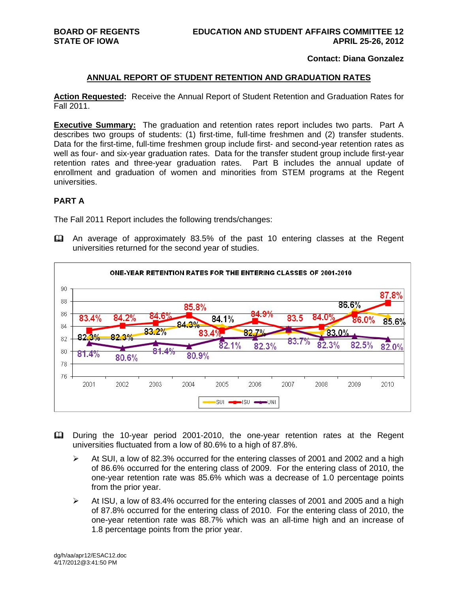#### **Contact: Diana Gonzalez**

#### **ANNUAL REPORT OF STUDENT RETENTION AND GRADUATION RATES**

**Action Requested:** Receive the Annual Report of Student Retention and Graduation Rates for Fall 2011.

**Executive Summary:** The graduation and retention rates report includes two parts. Part A describes two groups of students: (1) first-time, full-time freshmen and (2) transfer students. Data for the first-time, full-time freshmen group include first- and second-year retention rates as well as four- and six-year graduation rates. Data for the transfer student group include first-year retention rates and three-year graduation rates. Part B includes the annual update of enrollment and graduation of women and minorities from STEM programs at the Regent universities.

#### **PART A**

The Fall 2011 Report includes the following trends/changes:

 An average of approximately 83.5% of the past 10 entering classes at the Regent universities returned for the second year of studies.



- During the 10-year period 2001-2010, the one-year retention rates at the Regent universities fluctuated from a low of 80.6% to a high of 87.8%.
	- $\triangleright$  At SUI, a low of 82.3% occurred for the entering classes of 2001 and 2002 and a high of 86.6% occurred for the entering class of 2009. For the entering class of 2010, the one-year retention rate was 85.6% which was a decrease of 1.0 percentage points from the prior year.
	- $\triangleright$  At ISU, a low of 83.4% occurred for the entering classes of 2001 and 2005 and a high of 87.8% occurred for the entering class of 2010. For the entering class of 2010, the one-year retention rate was 88.7% which was an all-time high and an increase of 1.8 percentage points from the prior year.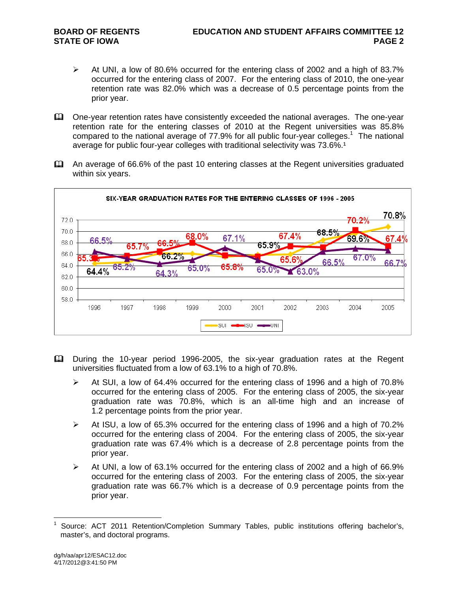- At UNI, a low of 80.6% occurred for the entering class of 2002 and a high of 83.7% occurred for the entering class of 2007. For the entering class of 2010, the one-year retention rate was 82.0% which was a decrease of 0.5 percentage points from the prior year.
- One-year retention rates have consistently exceeded the national averages. The one-year retention rate for the entering classes of 2010 at the Regent universities was 85.8% compared to the national average of 77.9% for all public four-year colleges.<sup>1</sup> The national average for public four-year colleges with traditional selectivity was 73.6%.<sup>1</sup>
- An average of 66.6% of the past 10 entering classes at the Regent universities graduated within six years.



- During the 10-year period 1996-2005, the six-year graduation rates at the Regent universities fluctuated from a low of 63.1% to a high of 70.8%.
	- $\triangleright$  At SUI, a low of 64.4% occurred for the entering class of 1996 and a high of 70.8% occurred for the entering class of 2005. For the entering class of 2005, the six-year graduation rate was 70.8%, which is an all-time high and an increase of 1.2 percentage points from the prior year.
	- $\triangleright$  At ISU, a low of 65.3% occurred for the entering class of 1996 and a high of 70.2% occurred for the entering class of 2004. For the entering class of 2005, the six-year graduation rate was 67.4% which is a decrease of 2.8 percentage points from the prior year.
	- $\triangleright$  At UNI, a low of 63.1% occurred for the entering class of 2002 and a high of 66.9% occurred for the entering class of 2003. For the entering class of 2005, the six-year graduation rate was 66.7% which is a decrease of 0.9 percentage points from the prior year.

 $\overline{a}$ 1 Source: ACT 2011 Retention/Completion Summary Tables, public institutions offering bachelor's, master's, and doctoral programs.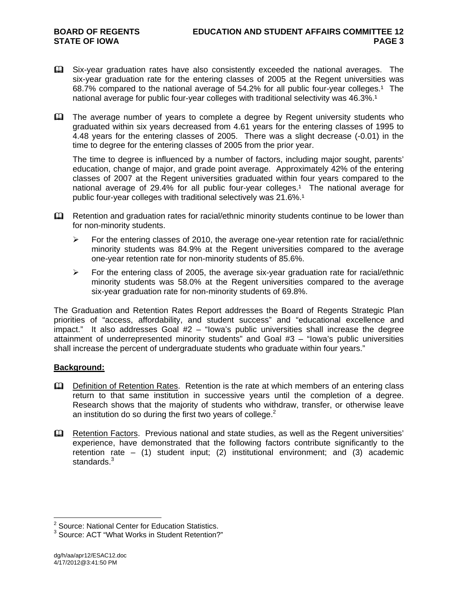- Six-year graduation rates have also consistently exceeded the national averages. The six-year graduation rate for the entering classes of 2005 at the Regent universities was 68.7% compared to the national average of  $54.2\%$  for all public four-year colleges.<sup>1</sup> The national average for public four-year colleges with traditional selectivity was 46.3%.<sup>1</sup>
- The average number of years to complete a degree by Regent university students who graduated within six years decreased from 4.61 years for the entering classes of 1995 to 4.48 years for the entering classes of 2005. There was a slight decrease (-0.01) in the time to degree for the entering classes of 2005 from the prior year.

The time to degree is influenced by a number of factors, including major sought, parents' education, change of major, and grade point average. Approximately 42% of the entering classes of 2007 at the Regent universities graduated within four years compared to the national average of 29.4% for all public four-year colleges.<sup>1</sup> The national average for public four-year colleges with traditional selectively was 21.6%.<sup>1</sup>

- Retention and graduation rates for racial/ethnic minority students continue to be lower than for non-minority students.
	- $\triangleright$  For the entering classes of 2010, the average one-year retention rate for racial/ethnic minority students was 84.9% at the Regent universities compared to the average one-year retention rate for non-minority students of 85.6%.
	- $\triangleright$  For the entering class of 2005, the average six-year graduation rate for racial/ethnic minority students was 58.0% at the Regent universities compared to the average six-year graduation rate for non-minority students of 69.8%.

The Graduation and Retention Rates Report addresses the Board of Regents Strategic Plan priorities of "access, affordability, and student success" and "educational excellence and impact." It also addresses Goal #2 – "Iowa's public universities shall increase the degree attainment of underrepresented minority students" and Goal #3 – "Iowa's public universities shall increase the percent of undergraduate students who graduate within four years."

#### **Background:**

- **Q.** Definition of Retention Rates. Retention is the rate at which members of an entering class return to that same institution in successive years until the completion of a degree. Research shows that the majority of students who withdraw, transfer, or otherwise leave an institution do so during the first two years of college. $<sup>2</sup>$ </sup>
- Retention Factors. Previous national and state studies, as well as the Regent universities' experience, have demonstrated that the following factors contribute significantly to the retention rate – (1) student input; (2) institutional environment; and (3) academic standards.<sup>3</sup>

 2 Source: National Center for Education Statistics.

<sup>&</sup>lt;sup>3</sup> Source: ACT "What Works in Student Retention?"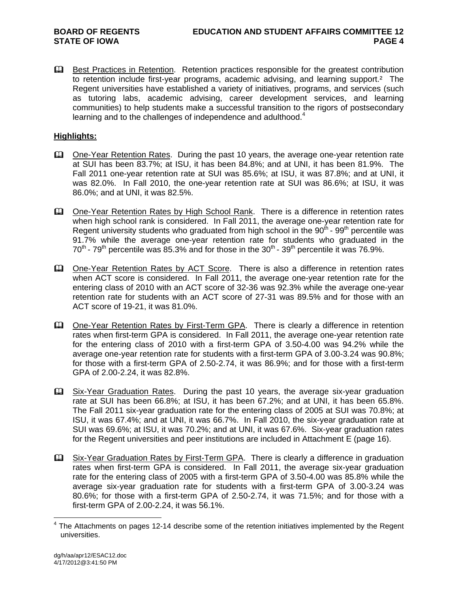**Example 3** Best Practices in Retention. Retention practices responsible for the greatest contribution to retention include first-year programs, academic advising, and learning support.<sup>2</sup> The Regent universities have established a variety of initiatives, programs, and services (such as tutoring labs, academic advising, career development services, and learning communities) to help students make a successful transition to the rigors of postsecondary learning and to the challenges of independence and adulthood. $4$ 

# **Highlights:**

- One-Year Retention Rates. During the past 10 years, the average one-year retention rate at SUI has been 83.7%; at ISU, it has been 84.8%; and at UNI, it has been 81.9%. The Fall 2011 one-year retention rate at SUI was 85.6%; at ISU, it was 87.8%; and at UNI, it was 82.0%. In Fall 2010, the one-year retention rate at SUI was 86.6%; at ISU, it was 86.0%; and at UNI, it was 82.5%.
- One-Year Retention Rates by High School Rank. There is a difference in retention rates when high school rank is considered. In Fall 2011, the average one-year retention rate for Regent university students who graduated from high school in the  $90<sup>th</sup>$  -  $99<sup>th</sup>$  percentile was 91.7% while the average one-year retention rate for students who graduated in the  $70^{th}$  -  $79^{th}$  percentile was 85.3% and for those in the  $30^{th}$  -  $39^{th}$  percentile it was 76.9%.
- **Ell** One-Year Retention Rates by ACT Score. There is also a difference in retention rates when ACT score is considered. In Fall 2011, the average one-year retention rate for the entering class of 2010 with an ACT score of 32-36 was 92.3% while the average one-year retention rate for students with an ACT score of 27-31 was 89.5% and for those with an ACT score of 19-21, it was 81.0%.
- Cone-Year Retention Rates by First-Term GPA. There is clearly a difference in retention rates when first-term GPA is considered. In Fall 2011, the average one-year retention rate for the entering class of 2010 with a first-term GPA of 3.50-4.00 was 94.2% while the average one-year retention rate for students with a first-term GPA of 3.00-3.24 was 90.8%; for those with a first-term GPA of 2.50-2.74, it was 86.9%; and for those with a first-term GPA of 2.00-2.24, it was 82.8%.
- Six-Year Graduation Rates. During the past 10 years, the average six-year graduation rate at SUI has been 66.8%; at ISU, it has been 67.2%; and at UNI, it has been 65.8%. The Fall 2011 six-year graduation rate for the entering class of 2005 at SUI was 70.8%; at ISU, it was 67.4%; and at UNI, it was 66.7%. In Fall 2010, the six-year graduation rate at SUI was 69.6%; at ISU, it was 70.2%; and at UNI, it was 67.6%. Six-year graduation rates for the Regent universities and peer institutions are included in Attachment E (page 16).
- Six-Year Graduation Rates by First-Term GPA. There is clearly a difference in graduation rates when first-term GPA is considered. In Fall 2011, the average six-year graduation rate for the entering class of 2005 with a first-term GPA of 3.50-4.00 was 85.8% while the average six-year graduation rate for students with a first-term GPA of 3.00-3.24 was 80.6%; for those with a first-term GPA of 2.50-2.74, it was 71.5%; and for those with a first-term GPA of 2.00-2.24, it was 56.1%.

 4 The Attachments on pages 12-14 describe some of the retention initiatives implemented by the Regent universities.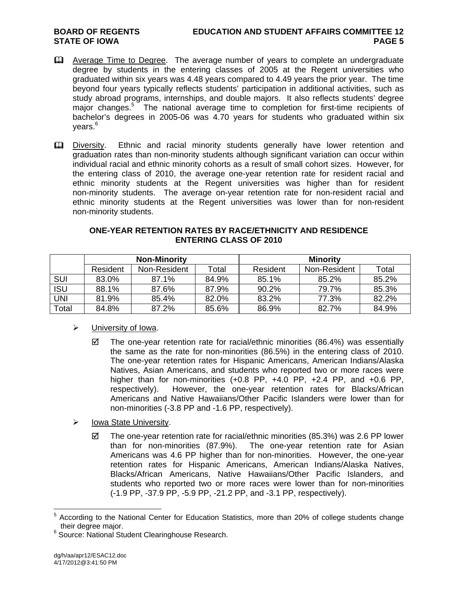#### **BOARD OF REGENTS EDUCATION AND STUDENT AFFAIRS COMMITTEE 12 STATE OF IOWA** PAGE 5

- **Average Time to Degree.** The average number of years to complete an undergraduate degree by students in the entering classes of 2005 at the Regent universities who graduated within six years was 4.48 years compared to 4.49 years the prior year. The time beyond four years typically reflects students' participation in additional activities, such as study abroad programs, internships, and double majors. It also reflects students' degree major changes.<sup>5</sup> The national average time to completion for first-time recipients of bachelor's degrees in 2005-06 was 4.70 years for students who graduated within six vears.<sup>6</sup>
- Diversity. Ethnic and racial minority students generally have lower retention and graduation rates than non-minority students although significant variation can occur within individual racial and ethnic minority cohorts as a result of small cohort sizes. However, for the entering class of 2010, the average one-year retention rate for resident racial and ethnic minority students at the Regent universities was higher than for resident non-minority students. The average on-year retention rate for non-resident racial and ethnic minority students at the Regent universities was lower than for non-resident non-minority students.

# **ONE-YEAR RETENTION RATES BY RACE/ETHNICITY AND RESIDENCE ENTERING CLASS OF 2010**

|            | <b>Non-Minority</b> |              |       | <b>Minority</b> |              |       |  |
|------------|---------------------|--------------|-------|-----------------|--------------|-------|--|
|            | Resident            | Non-Resident | Total | Resident        | Non-Resident | Total |  |
| <b>SUI</b> | 83.0%               | 87.1%        | 84.9% | 85.1%           | 85.2%        | 85.2% |  |
| <b>ISU</b> | 88.1%               | 87.6%        | 87.9% | 90.2%           | 79.7%        | 85.3% |  |
| UNI        | 81.9%               | 85.4%        | 82.0% | 83.2%           | 77.3%        | 82.2% |  |
| Total      | 84.8%               | 87.2%        | 85.6% | 86.9%           | 82.7%        | 84.9% |  |

# University of Iowa.

- $\boxtimes$  The one-year retention rate for racial/ethnic minorities (86.4%) was essentially the same as the rate for non-minorities (86.5%) in the entering class of 2010. The one-year retention rates for Hispanic Americans, American Indians/Alaska Natives, Asian Americans, and students who reported two or more races were higher than for non-minorities (+0.8 PP, +4.0 PP, +2.4 PP, and +0.6 PP, respectively). However, the one-year retention rates for Blacks/African Americans and Native Hawaiians/Other Pacific Islanders were lower than for non-minorities (-3.8 PP and -1.6 PP, respectively).
- $\triangleright$  Iowa State University.
	- $\boxtimes$  The one-year retention rate for racial/ethnic minorities (85.3%) was 2.6 PP lower than for non-minorities (87.9%). The one-year retention rate for Asian Americans was 4.6 PP higher than for non-minorities. However, the one-year retention rates for Hispanic Americans, American Indians/Alaska Natives, Blacks/African Americans, Native Hawaiians/Other Pacific Islanders, and students who reported two or more races were lower than for non-minorities (-1.9 PP, -37.9 PP, -5.9 PP, -21.2 PP, and -3.1 PP, respectively).

<sup>&</sup>lt;sup>5</sup> According to the National Center for Education Statistics, more than 20% of college students change their degree major. 6

<sup>&</sup>lt;sup>6</sup> Source: National Student Clearinghouse Research.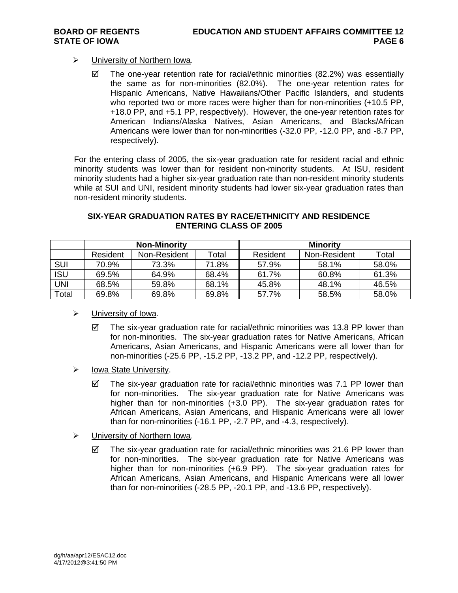# University of Northern Iowa.

 $\boxtimes$  The one-year retention rate for racial/ethnic minorities (82.2%) was essentially the same as for non-minorities (82.0%). The one-year retention rates for Hispanic Americans, Native Hawaiians/Other Pacific Islanders, and students who reported two or more races were higher than for non-minorities (+10.5 PP, +18.0 PP, and +5.1 PP, respectively). However, the one-year retention rates for American Indians/Alaska Natives, Asian Americans, and Blacks/African Americans were lower than for non-minorities (-32.0 PP, -12.0 PP, and -8.7 PP, respectively).

For the entering class of 2005, the six-year graduation rate for resident racial and ethnic minority students was lower than for resident non-minority students. At ISU, resident minority students had a higher six-year graduation rate than non-resident minority students while at SUI and UNI, resident minority students had lower six-year graduation rates than non-resident minority students.

|            | <b>Non-Minority</b> |              |       | <b>Minority</b> |              |       |  |
|------------|---------------------|--------------|-------|-----------------|--------------|-------|--|
|            | Resident            | Non-Resident | Total | Resident        | Non-Resident | Total |  |
| <b>SUI</b> | 70.9%               | 73.3%        | 71.8% | 57.9%           | 58.1%        | 58.0% |  |
| <b>ISU</b> | 69.5%               | 64.9%        | 68.4% | 61.7%           | 60.8%        | 61.3% |  |
| UNI        | 68.5%               | 59.8%        | 68.1% | 45.8%           | 48.1%        | 46.5% |  |
| Total      | 69.8%               | 69.8%        | 69.8% | 57.7%           | 58.5%        | 58.0% |  |

# **SIX-YEAR GRADUATION RATES BY RACE/ETHNICITY AND RESIDENCE ENTERING CLASS OF 2005**

- > University of Iowa.
	- $\boxtimes$  The six-year graduation rate for racial/ethnic minorities was 13.8 PP lower than for non-minorities. The six-year graduation rates for Native Americans, African Americans, Asian Americans, and Hispanic Americans were all lower than for non-minorities (-25.6 PP, -15.2 PP, -13.2 PP, and -12.2 PP, respectively).
- $\triangleright$  Iowa State University.
	- $\boxtimes$  The six-year graduation rate for racial/ethnic minorities was 7.1 PP lower than for non-minorities. The six-year graduation rate for Native Americans was higher than for non-minorities (+3.0 PP). The six-year graduation rates for African Americans, Asian Americans, and Hispanic Americans were all lower than for non-minorities (-16.1 PP, -2.7 PP, and -4.3, respectively).
- University of Northern Iowa.
	- $\boxtimes$  The six-year graduation rate for racial/ethnic minorities was 21.6 PP lower than for non-minorities. The six-year graduation rate for Native Americans was higher than for non-minorities (+6.9 PP). The six-year graduation rates for African Americans, Asian Americans, and Hispanic Americans were all lower than for non-minorities (-28.5 PP, -20.1 PP, and -13.6 PP, respectively).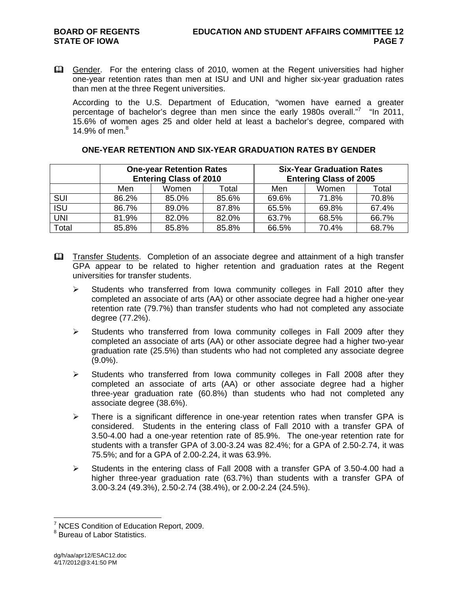Gender. For the entering class of 2010, women at the Regent universities had higher one-year retention rates than men at ISU and UNI and higher six-year graduation rates than men at the three Regent universities.

According to the U.S. Department of Education, "women have earned a greater percentage of bachelor's degree than men since the early 1980s overall."<sup>7</sup> "In 2011, 15.6% of women ages 25 and older held at least a bachelor's degree, compared with 14.9% of men. $8$ 

|            |       | <b>One-year Retention Rates</b> |       | <b>Six-Year Graduation Rates</b> |       |       |  |
|------------|-------|---------------------------------|-------|----------------------------------|-------|-------|--|
|            |       | <b>Entering Class of 2010</b>   |       | <b>Entering Class of 2005</b>    |       |       |  |
|            | Men   | Women                           | Total | Men                              | Women | Total |  |
| <b>SUI</b> | 86.2% | 85.0%                           | 85.6% | 69.6%                            | 71.8% | 70.8% |  |
| <b>ISU</b> | 86.7% | 89.0%                           | 87.8% | 65.5%                            | 69.8% | 67.4% |  |
| <b>UNI</b> | 81.9% | 82.0%                           | 82.0% | 63.7%                            | 68.5% | 66.7% |  |
| Total      | 85.8% | 85.8%                           | 85.8% | 66.5%                            | 70.4% | 68.7% |  |

# **ONE-YEAR RETENTION AND SIX-YEAR GRADUATION RATES BY GENDER**

- **Example 1** Transfer Students. Completion of an associate degree and attainment of a high transfer GPA appear to be related to higher retention and graduation rates at the Regent universities for transfer students.
	- $\triangleright$  Students who transferred from Iowa community colleges in Fall 2010 after they completed an associate of arts (AA) or other associate degree had a higher one-year retention rate (79.7%) than transfer students who had not completed any associate degree (77.2%).
	- $\triangleright$  Students who transferred from Iowa community colleges in Fall 2009 after they completed an associate of arts (AA) or other associate degree had a higher two-year graduation rate (25.5%) than students who had not completed any associate degree (9.0%).
	- $\triangleright$  Students who transferred from Iowa community colleges in Fall 2008 after they completed an associate of arts (AA) or other associate degree had a higher three-year graduation rate (60.8%) than students who had not completed any associate degree (38.6%).
	- $\triangleright$  There is a significant difference in one-year retention rates when transfer GPA is considered. Students in the entering class of Fall 2010 with a transfer GPA of 3.50-4.00 had a one-year retention rate of 85.9%. The one-year retention rate for students with a transfer GPA of 3.00-3.24 was 82.4%; for a GPA of 2.50-2.74, it was 75.5%; and for a GPA of 2.00-2.24, it was 63.9%.
	- $\triangleright$  Students in the entering class of Fall 2008 with a transfer GPA of 3.50-4.00 had a higher three-year graduation rate (63.7%) than students with a transfer GPA of 3.00-3.24 (49.3%), 2.50-2.74 (38.4%), or 2.00-2.24 (24.5%).

<sup>&</sup>lt;sup>7</sup> NCES Condition of Education Report, 2009.

<sup>&</sup>lt;sup>8</sup> Bureau of Labor Statistics.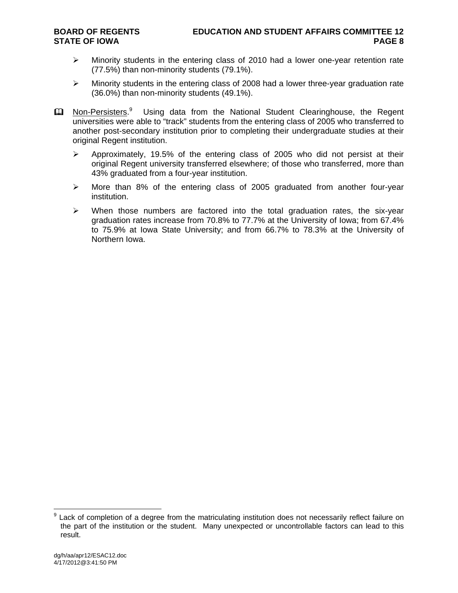- $\triangleright$  Minority students in the entering class of 2010 had a lower one-year retention rate (77.5%) than non-minority students (79.1%).
- $\triangleright$  Minority students in the entering class of 2008 had a lower three-year graduation rate (36.0%) than non-minority students (49.1%).
- **Ell** Non-Persisters.<sup>9</sup> Using data from the National Student Clearinghouse, the Regent universities were able to "track" students from the entering class of 2005 who transferred to another post-secondary institution prior to completing their undergraduate studies at their original Regent institution.
	- $\triangleright$  Approximately, 19.5% of the entering class of 2005 who did not persist at their original Regent university transferred elsewhere; of those who transferred, more than 43% graduated from a four-year institution.
	- $\triangleright$  More than 8% of the entering class of 2005 graduated from another four-year institution.
	- $\triangleright$  When those numbers are factored into the total graduation rates, the six-year graduation rates increase from 70.8% to 77.7% at the University of Iowa; from 67.4% to 75.9% at Iowa State University; and from 66.7% to 78.3% at the University of Northern Iowa.

<sup>&</sup>lt;sup>9</sup> Lack of completion of a degree from the matriculating institution does not necessarily reflect failure on the part of the institution or the student. Many unexpected or uncontrollable factors can lead to this result.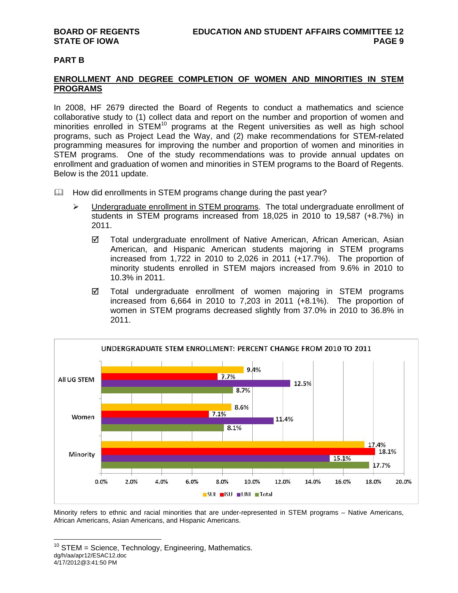#### **PART B**

### **ENROLLMENT AND DEGREE COMPLETION OF WOMEN AND MINORITIES IN STEM PROGRAMS**

In 2008, HF 2679 directed the Board of Regents to conduct a mathematics and science collaborative study to (1) collect data and report on the number and proportion of women and minorities enrolled in STEM<sup>10</sup> programs at the Regent universities as well as high school programs, such as Project Lead the Way, and (2) make recommendations for STEM-related programming measures for improving the number and proportion of women and minorities in STEM programs. One of the study recommendations was to provide annual updates on enrollment and graduation of women and minorities in STEM programs to the Board of Regents. Below is the 2011 update.

- $\Box$  How did enrollments in STEM programs change during the past year?
	- $\triangleright$  Undergraduate enrollment in STEM programs. The total undergraduate enrollment of students in STEM programs increased from 18,025 in 2010 to 19,587 (+8.7%) in 2011.
		- Total undergraduate enrollment of Native American, African American, Asian American, and Hispanic American students majoring in STEM programs increased from 1,722 in 2010 to 2,026 in 2011 (+17.7%). The proportion of minority students enrolled in STEM majors increased from 9.6% in 2010 to 10.3% in 2011.
		- Total undergraduate enrollment of women majoring in STEM programs increased from 6,664 in 2010 to 7,203 in 2011 (+8.1%). The proportion of women in STEM programs decreased slightly from 37.0% in 2010 to 36.8% in 2011.



Minority refers to ethnic and racial minorities that are under-represented in STEM programs – Native Americans, African Americans, Asian Americans, and Hispanic Americans.

dg/h/aa/apr12/ESAC12.doc 4/17/2012@3:41:50 PM  $\overline{a}$  $10$  STEM = Science, Technology, Engineering, Mathematics.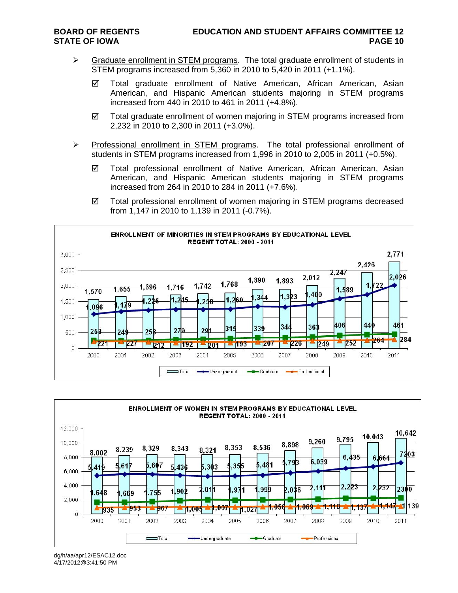- $\triangleright$  Graduate enrollment in STEM programs. The total graduate enrollment of students in STEM programs increased from 5,360 in 2010 to 5,420 in 2011 (+1.1%).
	- Total graduate enrollment of Native American, African American, Asian American, and Hispanic American students majoring in STEM programs increased from 440 in 2010 to 461 in 2011 (+4.8%).
	- $\boxtimes$  Total graduate enrollment of women majoring in STEM programs increased from 2,232 in 2010 to 2,300 in 2011 (+3.0%).
- $\triangleright$  Professional enrollment in STEM programs. The total professional enrollment of students in STEM programs increased from 1,996 in 2010 to 2,005 in 2011 (+0.5%).
	- Total professional enrollment of Native American, African American, Asian American, and Hispanic American students majoring in STEM programs increased from 264 in 2010 to 284 in 2011 (+7.6%).
	- Total professional enrollment of women majoring in STEM programs decreased from 1,147 in 2010 to 1,139 in 2011 (-0.7%).





dg/h/aa/apr12/ESAC12.doc 4/17/2012@3:41:50 PM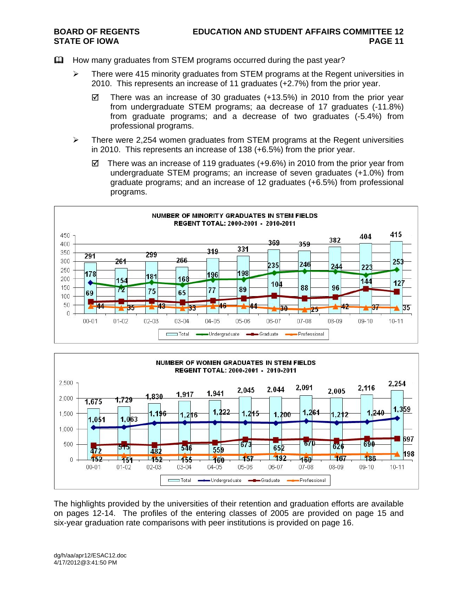- How many graduates from STEM programs occurred during the past year?
	- $\triangleright$  There were 415 minority graduates from STEM programs at the Regent universities in 2010. This represents an increase of 11 graduates (+2.7%) from the prior year.
		- $\boxtimes$  There was an increase of 30 graduates (+13.5%) in 2010 from the prior year from undergraduate STEM programs; aa decrease of 17 graduates (-11.8%) from graduate programs; and a decrease of two graduates (-5.4%) from professional programs.
	- $\triangleright$  There were 2,254 women graduates from STEM programs at the Regent universities in 2010. This represents an increase of 138 (+6.5%) from the prior year.
		- $\boxtimes$  There was an increase of 119 graduates (+9.6%) in 2010 from the prior year from undergraduate STEM programs; an increase of seven graduates (+1.0%) from graduate programs; and an increase of 12 graduates (+6.5%) from professional programs.





The highlights provided by the universities of their retention and graduation efforts are available on pages 12-14. The profiles of the entering classes of 2005 are provided on page 15 and six-year graduation rate comparisons with peer institutions is provided on page 16.

dg/h/aa/apr12/ESAC12.doc 4/17/2012@3:41:50 PM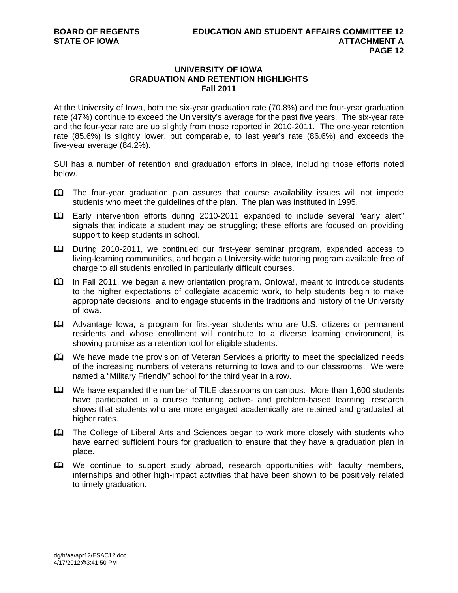# **UNIVERSITY OF IOWA GRADUATION AND RETENTION HIGHLIGHTS Fall 2011**

At the University of Iowa, both the six-year graduation rate (70.8%) and the four-year graduation rate (47%) continue to exceed the University's average for the past five years. The six-year rate and the four-year rate are up slightly from those reported in 2010-2011. The one-year retention rate (85.6%) is slightly lower, but comparable, to last year's rate (86.6%) and exceeds the five-year average (84.2%).

SUI has a number of retention and graduation efforts in place, including those efforts noted below.

- The four-year graduation plan assures that course availability issues will not impede students who meet the guidelines of the plan. The plan was instituted in 1995.
- Early intervention efforts during 2010-2011 expanded to include several "early alert" signals that indicate a student may be struggling; these efforts are focused on providing support to keep students in school.
- During 2010-2011, we continued our first-year seminar program, expanded access to living-learning communities, and began a University-wide tutoring program available free of charge to all students enrolled in particularly difficult courses.
- In Fall 2011, we began a new orientation program, OnIowa!, meant to introduce students to the higher expectations of collegiate academic work, to help students begin to make appropriate decisions, and to engage students in the traditions and history of the University of Iowa.
- Advantage Iowa, a program for first-year students who are U.S. citizens or permanent residents and whose enrollment will contribute to a diverse learning environment, is showing promise as a retention tool for eligible students.
- We have made the provision of Veteran Services a priority to meet the specialized needs of the increasing numbers of veterans returning to Iowa and to our classrooms. We were named a "Military Friendly" school for the third year in a row.
- We have expanded the number of TILE classrooms on campus. More than 1,600 students have participated in a course featuring active- and problem-based learning; research shows that students who are more engaged academically are retained and graduated at higher rates.
- The College of Liberal Arts and Sciences began to work more closely with students who have earned sufficient hours for graduation to ensure that they have a graduation plan in place.
- We continue to support study abroad, research opportunities with faculty members, internships and other high-impact activities that have been shown to be positively related to timely graduation.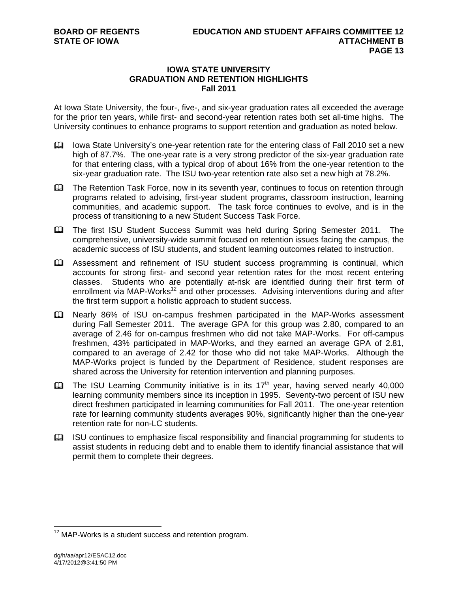# **IOWA STATE UNIVERSITY GRADUATION AND RETENTION HIGHLIGHTS Fall 2011**

At Iowa State University, the four-, five-, and six-year graduation rates all exceeded the average for the prior ten years, while first- and second-year retention rates both set all-time highs. The University continues to enhance programs to support retention and graduation as noted below.

- Iowa State University's one-year retention rate for the entering class of Fall 2010 set a new high of 87.7%. The one-year rate is a very strong predictor of the six-year graduation rate for that entering class, with a typical drop of about 16% from the one-year retention to the six-year graduation rate. The ISU two-year retention rate also set a new high at 78.2%.
- **Example Proget The Retention Task Force, now in its seventh year, continues to focus on retention through** programs related to advising, first-year student programs, classroom instruction, learning communities, and academic support. The task force continues to evolve, and is in the process of transitioning to a new Student Success Task Force.
- The first ISU Student Success Summit was held during Spring Semester 2011. The comprehensive, university-wide summit focused on retention issues facing the campus, the academic success of ISU students, and student learning outcomes related to instruction.
- Assessment and refinement of ISU student success programming is continual, which accounts for strong first- and second year retention rates for the most recent entering classes. Students who are potentially at-risk are identified during their first term of enrollment via MAP-Works<sup>12</sup> and other processes. Advising interventions during and after the first term support a holistic approach to student success.
- Nearly 86% of ISU on-campus freshmen participated in the MAP-Works assessment during Fall Semester 2011. The average GPA for this group was 2.80, compared to an average of 2.46 for on-campus freshmen who did not take MAP-Works. For off-campus freshmen, 43% participated in MAP-Works, and they earned an average GPA of 2.81, compared to an average of 2.42 for those who did not take MAP-Works. Although the MAP-Works project is funded by the Department of Residence, student responses are shared across the University for retention intervention and planning purposes.
- $\Box$  The ISU Learning Community initiative is in its 17<sup>th</sup> year, having served nearly 40,000 learning community members since its inception in 1995. Seventy-two percent of ISU new direct freshmen participated in learning communities for Fall 2011. The one-year retention rate for learning community students averages 90%, significantly higher than the one-year retention rate for non-LC students.
- $\Box$  ISU continues to emphasize fiscal responsibility and financial programming for students to assist students in reducing debt and to enable them to identify financial assistance that will permit them to complete their degrees.

 $12$  MAP-Works is a student success and retention program.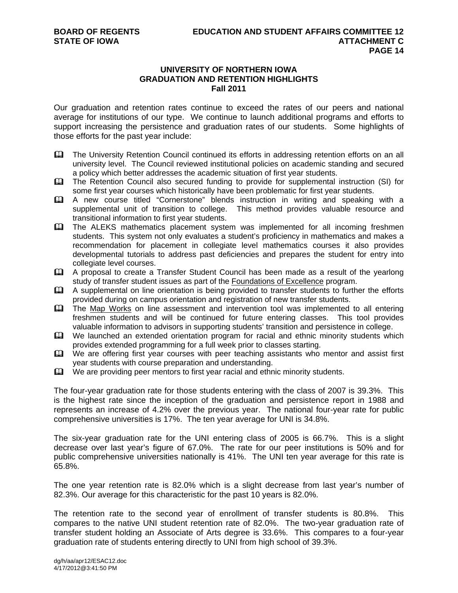### **UNIVERSITY OF NORTHERN IOWA GRADUATION AND RETENTION HIGHLIGHTS Fall 2011**

Our graduation and retention rates continue to exceed the rates of our peers and national average for institutions of our type. We continue to launch additional programs and efforts to support increasing the persistence and graduation rates of our students. Some highlights of those efforts for the past year include:

- The University Retention Council continued its efforts in addressing retention efforts on an all university level. The Council reviewed institutional policies on academic standing and secured a policy which better addresses the academic situation of first year students.
- The Retention Council also secured funding to provide for supplemental instruction (SI) for some first year courses which historically have been problematic for first year students.
- A new course titled "Cornerstone" blends instruction in writing and speaking with a supplemental unit of transition to college. This method provides valuable resource and transitional information to first year students.
- The ALEKS mathematics placement system was implemented for all incoming freshmen students. This system not only evaluates a student's proficiency in mathematics and makes a recommendation for placement in collegiate level mathematics courses it also provides developmental tutorials to address past deficiencies and prepares the student for entry into collegiate level courses.
- A proposal to create a Transfer Student Council has been made as a result of the yearlong study of transfer student issues as part of the Foundations of Excellence program.
- A supplemental on line orientation is being provided to transfer students to further the efforts provided during on campus orientation and registration of new transfer students.
- The Map Works on line assessment and intervention tool was implemented to all entering freshmen students and will be continued for future entering classes. This tool provides valuable information to advisors in supporting students' transition and persistence in college.
- We launched an extended orientation program for racial and ethnic minority students which provides extended programming for a full week prior to classes starting.
- We are offering first year courses with peer teaching assistants who mentor and assist first year students with course preparation and understanding.
- $\mathbf{\Omega}$  We are providing peer mentors to first year racial and ethnic minority students.

The four-year graduation rate for those students entering with the class of 2007 is 39.3%. This is the highest rate since the inception of the graduation and persistence report in 1988 and represents an increase of 4.2% over the previous year. The national four-year rate for public comprehensive universities is 17%. The ten year average for UNI is 34.8%.

The six-year graduation rate for the UNI entering class of 2005 is 66.7%. This is a slight decrease over last year's figure of 67.0%. The rate for our peer institutions is 50% and for public comprehensive universities nationally is 41%. The UNI ten year average for this rate is 65.8%.

The one year retention rate is 82.0% which is a slight decrease from last year's number of 82.3%. Our average for this characteristic for the past 10 years is 82.0%.

The retention rate to the second year of enrollment of transfer students is 80.8%. This compares to the native UNI student retention rate of 82.0%. The two-year graduation rate of transfer student holding an Associate of Arts degree is 33.6%. This compares to a four-year graduation rate of students entering directly to UNI from high school of 39.3%.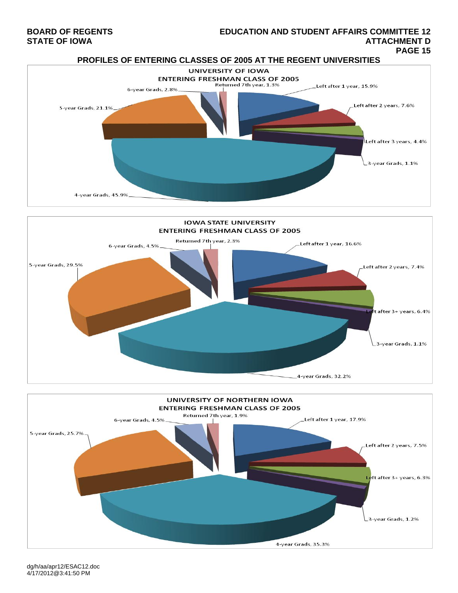# **BOARD OF REGENTS EDUCATION AND STUDENT AFFAIRS COMMITTEE 12**  STATE OF IOWA AND RESERVE TO A STATE OF IOWA AND RANGE TO A STATE OF IOWA ATTACHMENT DUAL OF IOWA ATTACHMENT D<br>PAGE 15







dg/h/aa/apr12/ESAC12.doc 4/17/2012@3:41:50 PM